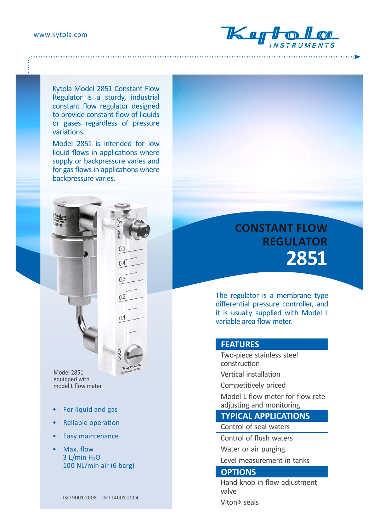

Kytola Model 2851 Constant Flow Regulator is a sturdy, industrial constant flow regulator designed to provide constant flow of liquids or gases regardless of pressure variations.

Model 2851 is intended for low liquid flows in applications where supply or backpressure varies and for gas flows in applications where backpressure varies.

 $0.5$ 

 $0.4$ 

 $0.3$ 

Model 2851 equipped with model L flow meter

- For liquid and gas
- Reliable operation
- Easy maintenance
- Max. flow  $3$  L/min  $H<sub>2</sub>O$ 100 NL/min air (6 barg)

ISO 9001:2008 ISO 14001:2004

# **CONSTANT FLOW REGULATOR 2851**

The regulator is a membrane type differential pressure controller, and it is usually supplied with Model L variable area flow meter.

#### **FEATURES**

Two-piece stainless steel construction

Vertical installation

Competitively priced

Model L flow meter for flow rate adjusting and monitoring

### **TYPICAL APPLICATIONS**

Control of seal waters

Control of flush waters

Water or air purging

Level measurement in tanks

## **OPTIONS**

Hand knob in flow adjustment valve

Viton® seals